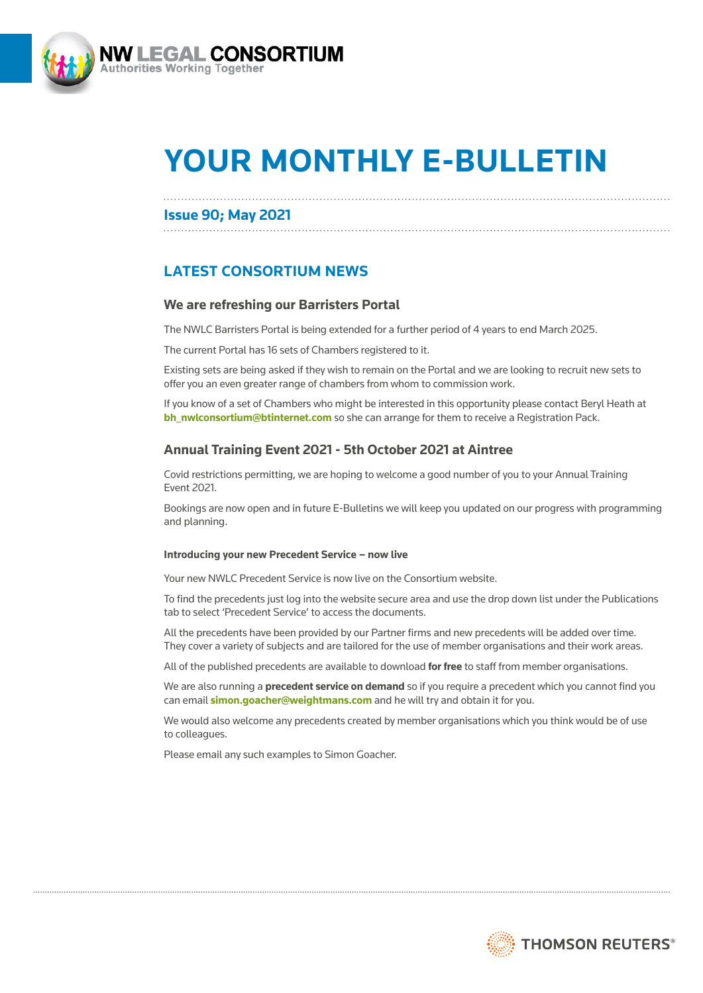

# **YOUR MONTHLY E-BULLETIN**

## **Issue 90; May 2021**

# **LATEST CONSORTIUM NEWS**

## **We are refreshing our Barristers Portal**

The NWLC Barristers Portal is being extended for a further period of 4 years to end March 2025.

The current Portal has 16 sets of Chambers registered to it.

Existing sets are being asked if they wish to remain on the Portal and we are looking to recruit new sets to offer you an even greater range of chambers from whom to commission work.

If you know of a set of Chambers who might be interested in this opportunity please contact Beryl Heath at **[bh\\_nwlconsortium@btinternet.com](mailto:bh_nwlconsortium%40btinternet.com?subject=)** so she can arrange for them to receive a Registration Pack.

## **Annual Training Event 2021 - 5th October 2021 at Aintree**

Covid restrictions permitting, we are hoping to welcome a good number of you to your Annual Training Event 2021.

Bookings are now open and in future E-Bulletins we will keep you updated on our progress with programming and planning.

#### **Introducing your new Precedent Service – now live**

Your new NWLC Precedent Service is now live on the Consortium website.

To find the precedents just log into the website secure area and use the drop down list under the Publications tab to select 'Precedent Service' to access the documents.

All the precedents have been provided by our Partner firms and new precedents will be added over time. They cover a variety of subjects and are tailored for the use of member organisations and their work areas.

All of the published precedents are available to download **for free** to staff from member organisations.

We are also running a **precedent service on demand** so if you require a precedent which you cannot find you can email **[simon.goacher@weightmans.com](mailto:simon.goacher%40weightmans.com?subject=)** and he will try and obtain it for you.

We would also welcome any precedents created by member organisations which you think would be of use to colleagues.

Please email any such examples to Simon Goacher.

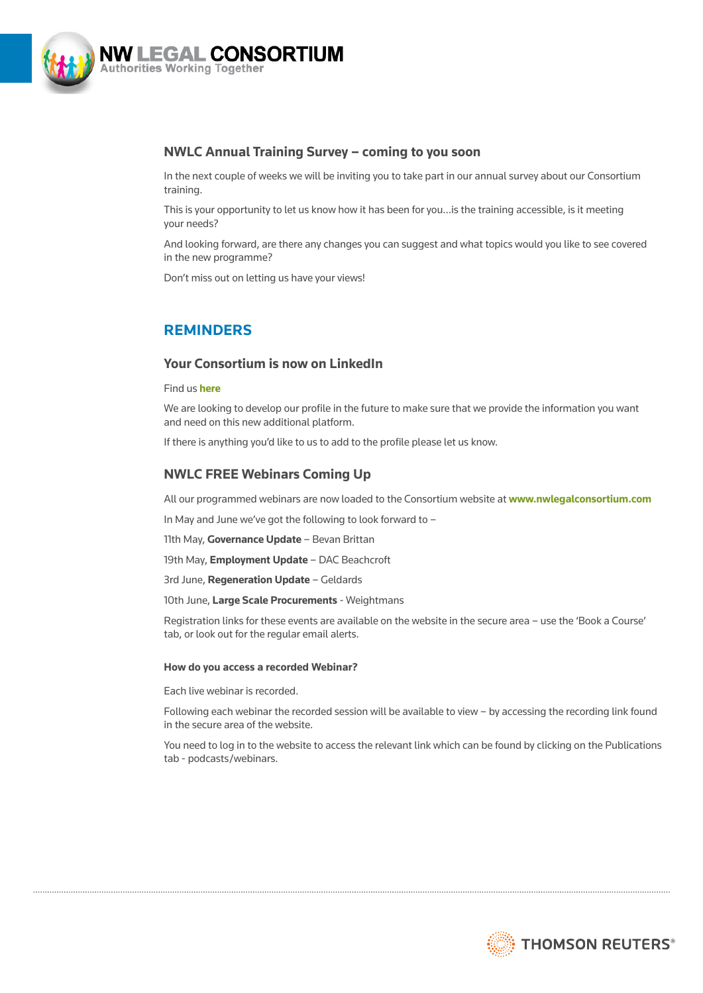

## **NWLC Annual Training Survey – coming to you soon**

In the next couple of weeks we will be inviting you to take part in our annual survey about our Consortium training.

This is your opportunity to let us know how it has been for you…is the training accessible, is it meeting your needs?

And looking forward, are there any changes you can suggest and what topics would you like to see covered in the new programme?

Don't miss out on letting us have your views!

## **REMINDERS**

## **Your Consortium is now on LinkedIn**

#### Find us **[here](https://www.linkedin.com/company/nwlc)**

We are looking to develop our profile in the future to make sure that we provide the information you want and need on this new additional platform.

If there is anything you'd like to us to add to the profile please let us know.

## **NWLC FREE Webinars Coming Up**

All our programmed webinars are now loaded to the Consortium website at **[www.nwlegalconsortium.com](http://www.nwlegalconsortium.com)**

In May and June we've got the following to look forward to –

11th May, **Governance Update** – Bevan Brittan

19th May, **Employment Update** – DAC Beachcroft

3rd June, **Regeneration Update** – Geldards

10th June, **Large Scale Procurements** - Weightmans

Registration links for these events are available on the website in the secure area – use the 'Book a Course' tab, or look out for the regular email alerts.

#### **How do you access a recorded Webinar?**

Each live webinar is recorded.

Following each webinar the recorded session will be available to view – by accessing the recording link found in the secure area of the website.

You need to log in to the website to access the relevant link which can be found by clicking on the Publications tab - podcasts/webinars.

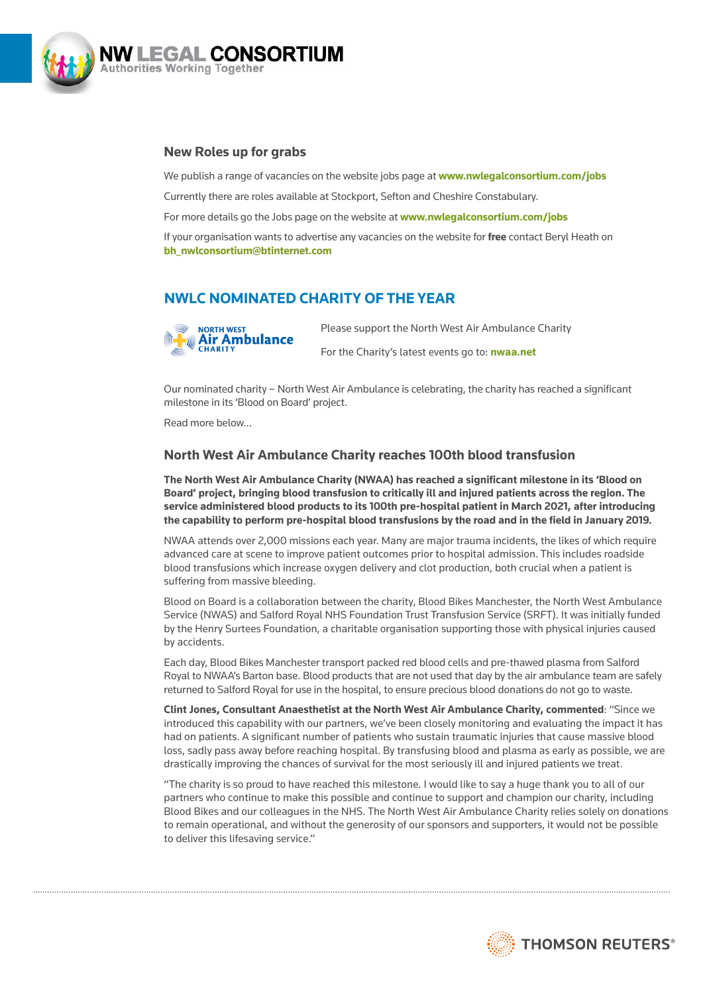

## **New Roles up for grabs**

We publish a range of vacancies on the website jobs page at **[www.nwlegalconsortium.com/jobs](http://www.nwlegalconsortium.com/jobs)** Currently there are roles available at Stockport, Sefton and Cheshire Constabulary. For more details go the Jobs page on the website at **[www.nwlegalconsortium.com/jobs](http://www.nwlegalconsortium.com/jobs)**

If your organisation wants to advertise any vacancies on the website for **free** contact Beryl Heath on **[bh\\_nwlconsortium@btinternet.com](mailto:bh_nwlconsortium%40btinternet.com?subject=)**

# **NWLC NOMINATED CHARITY OF THE YEAR**



Please support the North West Air Ambulance Charity For the Charity's latest events go to: **[nwaa.net](http://nwaa.net/)**

Our nominated charity – North West Air Ambulance is celebrating, the charity has reached a significant milestone in its 'Blood on Board' project.

Read more below…

## **North West Air Ambulance Charity reaches 100th blood transfusion**

**The North West Air Ambulance Charity (NWAA) has reached a significant milestone in its 'Blood on Board' project, bringing blood transfusion to critically ill and injured patients across the region. The service administered blood products to its 100th pre-hospital patient in March 2021, after introducing the capability to perform pre-hospital blood transfusions by the road and in the field in January 2019.** 

NWAA attends over 2,000 missions each year. Many are major trauma incidents, the likes of which require advanced care at scene to improve patient outcomes prior to hospital admission. This includes roadside blood transfusions which increase oxygen delivery and clot production, both crucial when a patient is suffering from massive bleeding.

Blood on Board is a collaboration between the charity, Blood Bikes Manchester, the North West Ambulance Service (NWAS) and Salford Royal NHS Foundation Trust Transfusion Service (SRFT). It was initially funded by the Henry Surtees Foundation, a charitable organisation supporting those with physical injuries caused by accidents.

Each day, Blood Bikes Manchester transport packed red blood cells and pre-thawed plasma from Salford Royal to NWAA's Barton base. Blood products that are not used that day by the air ambulance team are safely returned to Salford Royal for use in the hospital, to ensure precious blood donations do not go to waste.

**Clint Jones, Consultant Anaesthetist at the North West Air Ambulance Charity, commented**: "Since we introduced this capability with our partners, we've been closely monitoring and evaluating the impact it has had on patients. A significant number of patients who sustain traumatic injuries that cause massive blood loss, sadly pass away before reaching hospital. By transfusing blood and plasma as early as possible, we are drastically improving the chances of survival for the most seriously ill and injured patients we treat.

"The charity is so proud to have reached this milestone. I would like to say a huge thank you to all of our partners who continue to make this possible and continue to support and champion our charity, including Blood Bikes and our colleagues in the NHS. The North West Air Ambulance Charity relies solely on donations to remain operational, and without the generosity of our sponsors and supporters, it would not be possible to deliver this lifesaving service."

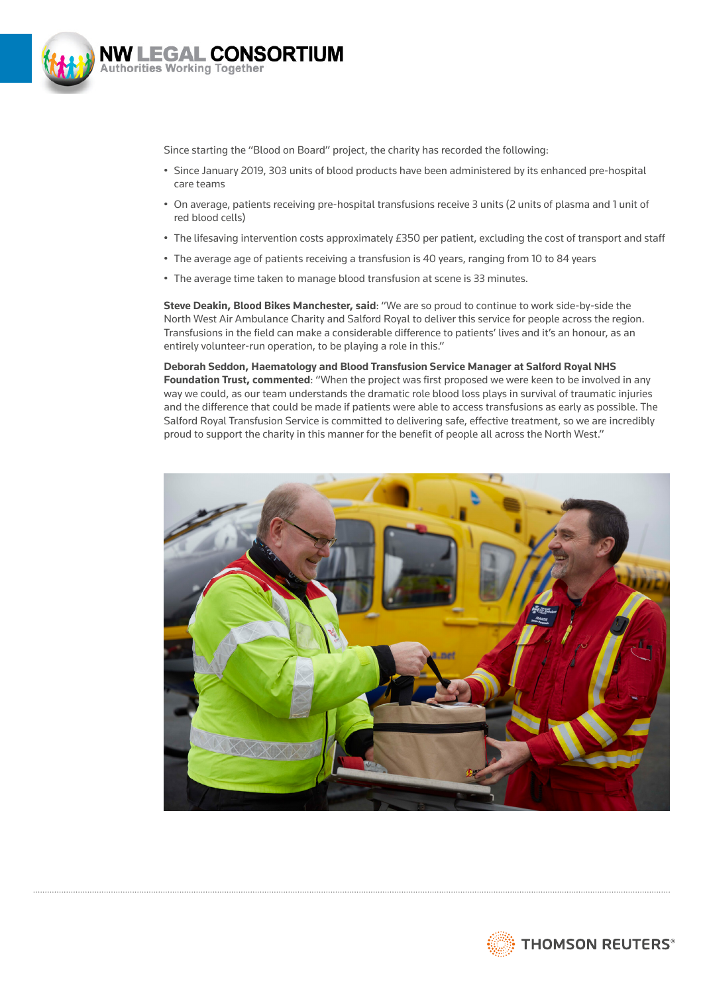

Since starting the "Blood on Board" project, the charity has recorded the following:

- Since January 2019, 303 units of blood products have been administered by its enhanced pre-hospital care teams
- On average, patients receiving pre-hospital transfusions receive 3 units (2 units of plasma and 1 unit of red blood cells)
- The lifesaving intervention costs approximately £350 per patient, excluding the cost of transport and staff
- The average age of patients receiving a transfusion is 40 years, ranging from 10 to 84 years
- The average time taken to manage blood transfusion at scene is 33 minutes.

**Steve Deakin, Blood Bikes Manchester, said**: "We are so proud to continue to work side-by-side the North West Air Ambulance Charity and Salford Royal to deliver this service for people across the region. Transfusions in the field can make a considerable difference to patients' lives and it's an honour, as an entirely volunteer-run operation, to be playing a role in this."

## **Deborah Seddon, Haematology and Blood Transfusion Service Manager at Salford Royal NHS**

**Foundation Trust, commented**: "When the project was first proposed we were keen to be involved in any way we could, as our team understands the dramatic role blood loss plays in survival of traumatic injuries and the difference that could be made if patients were able to access transfusions as early as possible. The Salford Royal Transfusion Service is committed to delivering safe, effective treatment, so we are incredibly proud to support the charity in this manner for the benefit of people all across the North West."



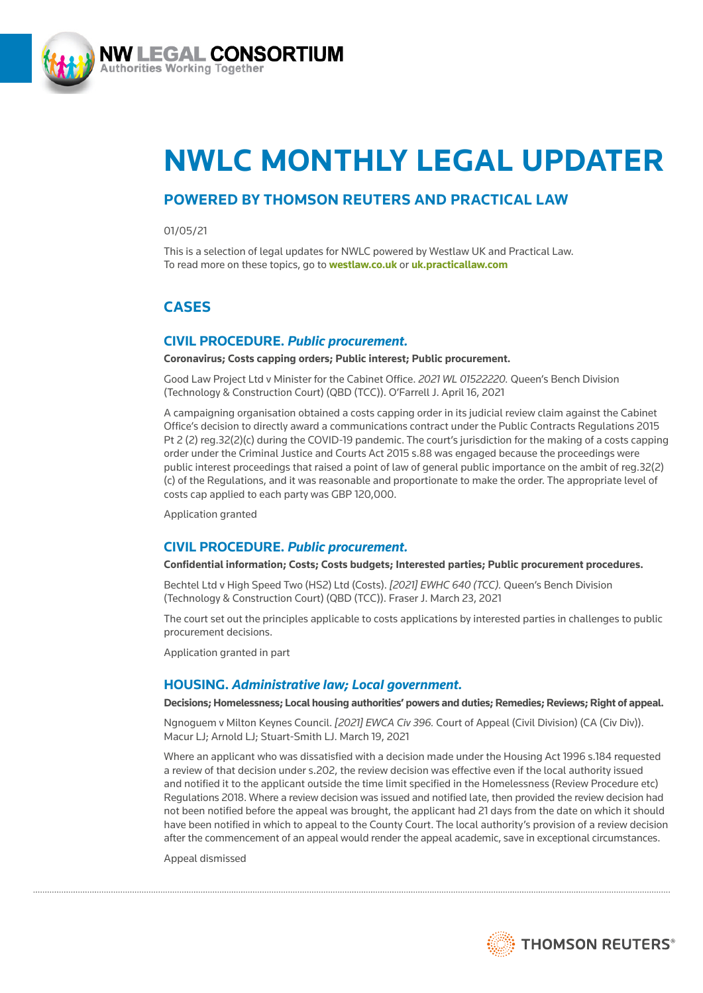

# **NWLC MONTHLY LEGAL UPDATER**

# **POWERED BY THOMSON REUTERS AND PRACTICAL LAW**

01/05/21

This is a selection of legal updates for NWLC powered by Westlaw UK and Practical Law. To read more on these topics, go to **<westlaw.co.uk>** or **<uk.practicallaw.com>**

# **CASES**

## **CIVIL PROCEDURE.** *Public procurement.*

**Coronavirus; Costs capping orders; Public interest; Public procurement.**

Good Law Project Ltd v Minister for the Cabinet Office. *2021 WL 01522220.* Queen's Bench Division (Technology & Construction Court) (QBD (TCC)). O'Farrell J. April 16, 2021

A campaigning organisation obtained a costs capping order in its judicial review claim against the Cabinet Office's decision to directly award a communications contract under the Public Contracts Regulations 2015 Pt 2 (2) reg.32(2)(c) during the COVID-19 pandemic. The court's jurisdiction for the making of a costs capping order under the Criminal Justice and Courts Act 2015 s.88 was engaged because the proceedings were public interest proceedings that raised a point of law of general public importance on the ambit of reg.32(2) (c) of the Regulations, and it was reasonable and proportionate to make the order. The appropriate level of costs cap applied to each party was GBP 120,000.

Application granted

## **CIVIL PROCEDURE.** *Public procurement.*

#### **Confidential information; Costs; Costs budgets; Interested parties; Public procurement procedures.**

Bechtel Ltd v High Speed Two (HS2) Ltd (Costs). *[2021] EWHC 640 (TCC).* Queen's Bench Division (Technology & Construction Court) (QBD (TCC)). Fraser J. March 23, 2021

The court set out the principles applicable to costs applications by interested parties in challenges to public procurement decisions.

Application granted in part

## **HOUSING.** *Administrative law; Local government.*

#### **Decisions; Homelessness; Local housing authorities' powers and duties; Remedies; Reviews; Right of appeal.**

Ngnoguem v Milton Keynes Council. *[2021] EWCA Civ 396.* Court of Appeal (Civil Division) (CA (Civ Div)). Macur LJ; Arnold LJ; Stuart-Smith LJ. March 19, 2021

Where an applicant who was dissatisfied with a decision made under the Housing Act 1996 s.184 requested a review of that decision under s.202, the review decision was effective even if the local authority issued and notified it to the applicant outside the time limit specified in the Homelessness (Review Procedure etc) Regulations 2018. Where a review decision was issued and notified late, then provided the review decision had not been notified before the appeal was brought, the applicant had 21 days from the date on which it should have been notified in which to appeal to the County Court. The local authority's provision of a review decision after the commencement of an appeal would render the appeal academic, save in exceptional circumstances.

Appeal dismissed

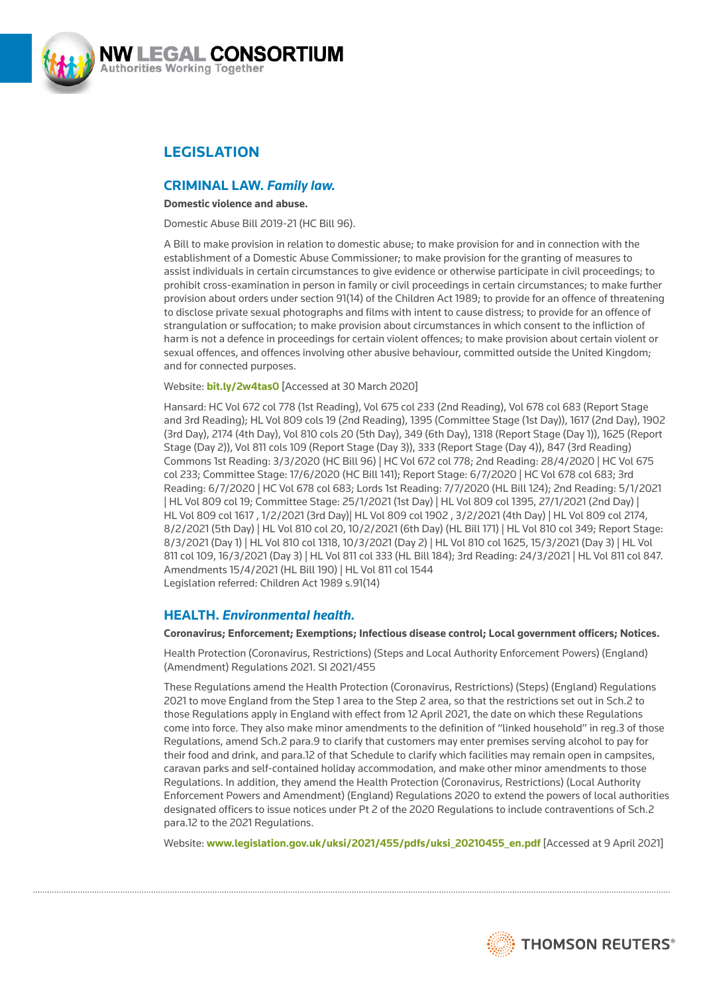

# **LEGISLATION**

## **CRIMINAL LAW.** *Family law.*

#### **Domestic violence and abuse.**

Domestic Abuse Bill 2019-21 (HC Bill 96).

A Bill to make provision in relation to domestic abuse; to make provision for and in connection with the establishment of a Domestic Abuse Commissioner; to make provision for the granting of measures to assist individuals in certain circumstances to give evidence or otherwise participate in civil proceedings; to prohibit cross-examination in person in family or civil proceedings in certain circumstances; to make further provision about orders under section 91(14) of the Children Act 1989; to provide for an offence of threatening to disclose private sexual photographs and films with intent to cause distress; to provide for an offence of strangulation or suffocation; to make provision about circumstances in which consent to the infliction of harm is not a defence in proceedings for certain violent offences; to make provision about certain violent or sexual offences, and offences involving other abusive behaviour, committed outside the United Kingdom; and for connected purposes.

#### Website: **[bit.ly/2w4tas0](http://bit.ly/2w4tas0)** [Accessed at 30 March 2020]

Hansard: HC Vol 672 col 778 (1st Reading), Vol 675 col 233 (2nd Reading), Vol 678 col 683 (Report Stage and 3rd Reading); HL Vol 809 cols 19 (2nd Reading), 1395 (Committee Stage (1st Day)), 1617 (2nd Day), 1902 (3rd Day), 2174 (4th Day), Vol 810 cols 20 (5th Day), 349 (6th Day), 1318 (Report Stage (Day 1)), 1625 (Report Stage (Day 2)), Vol 811 cols 109 (Report Stage (Day 3)), 333 (Report Stage (Day 4)), 847 (3rd Reading) Commons 1st Reading: 3/3/2020 (HC Bill 96) | HC Vol 672 col 778; 2nd Reading: 28/4/2020 | HC Vol 675 col 233; Committee Stage: 17/6/2020 (HC Bill 141); Report Stage: 6/7/2020 | HC Vol 678 col 683; 3rd Reading: 6/7/2020 | HC Vol 678 col 683; Lords 1st Reading: 7/7/2020 (HL Bill 124); 2nd Reading: 5/1/2021 | HL Vol 809 col 19; Committee Stage: 25/1/2021 (1st Day) | HL Vol 809 col 1395, 27/1/2021 (2nd Day) | HL Vol 809 col 1617 , 1/2/2021 (3rd Day)| HL Vol 809 col 1902 , 3/2/2021 (4th Day) | HL Vol 809 col 2174, 8/2/2021 (5th Day) | HL Vol 810 col 20, 10/2/2021 (6th Day) (HL Bill 171) | HL Vol 810 col 349; Report Stage: 8/3/2021 (Day 1) | HL Vol 810 col 1318, 10/3/2021 (Day 2) | HL Vol 810 col 1625, 15/3/2021 (Day 3) | HL Vol 811 col 109, 16/3/2021 (Day 3) | HL Vol 811 col 333 (HL Bill 184); 3rd Reading: 24/3/2021 | HL Vol 811 col 847. Amendments 15/4/2021 (HL Bill 190) | HL Vol 811 col 1544 Legislation referred: Children Act 1989 s.91(14)

## **HEALTH.** *Environmental health.*

**Coronavirus; Enforcement; Exemptions; Infectious disease control; Local government officers; Notices.**

Health Protection (Coronavirus, Restrictions) (Steps and Local Authority Enforcement Powers) (England) (Amendment) Regulations 2021. SI 2021/455

These Regulations amend the Health Protection (Coronavirus, Restrictions) (Steps) (England) Regulations 2021 to move England from the Step 1 area to the Step 2 area, so that the restrictions set out in Sch.2 to those Regulations apply in England with effect from 12 April 2021, the date on which these Regulations come into force. They also make minor amendments to the definition of "linked household" in reg.3 of those Regulations, amend Sch.2 para.9 to clarify that customers may enter premises serving alcohol to pay for their food and drink, and para.12 of that Schedule to clarify which facilities may remain open in campsites, caravan parks and self-contained holiday accommodation, and make other minor amendments to those Regulations. In addition, they amend the Health Protection (Coronavirus, Restrictions) (Local Authority Enforcement Powers and Amendment) (England) Regulations 2020 to extend the powers of local authorities designated officers to issue notices under Pt 2 of the 2020 Regulations to include contraventions of Sch.2 para.12 to the 2021 Regulations.

Website: **[www.legislation.gov.uk/uksi/2021/455/pdfs/uksi\\_20210455\\_en.pdf](http://www.legislation.gov.uk/uksi/2021/455/pdfs/uksi_20210455_en.pdf)** [Accessed at 9 April 2021]

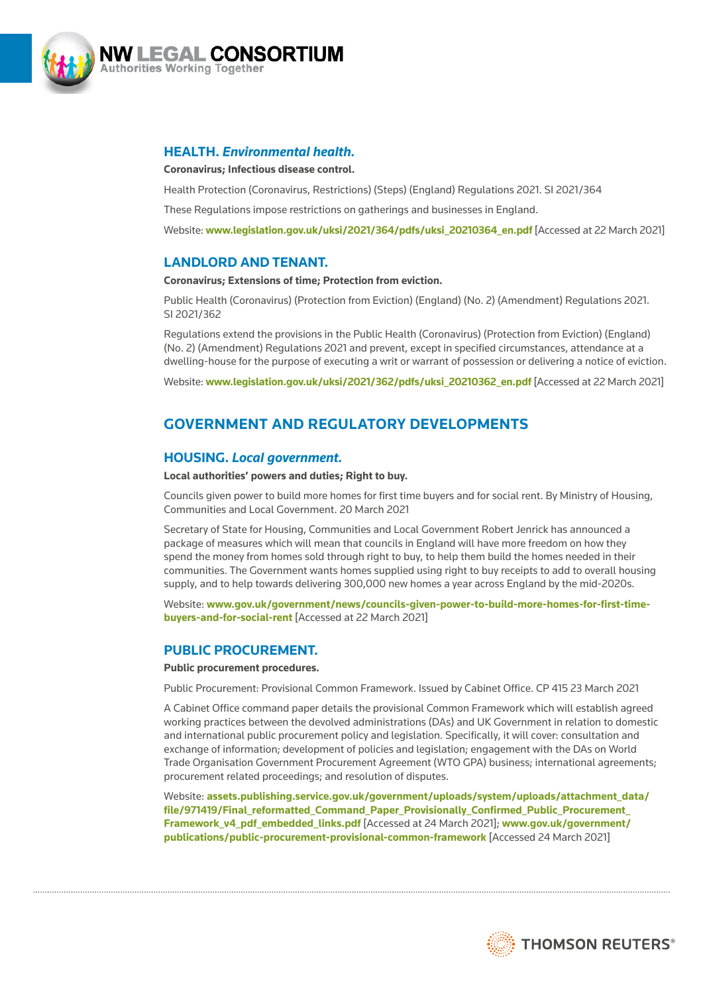

## **HEALTH.** *Environmental health.*

#### **Coronavirus; Infectious disease control.**

Health Protection (Coronavirus, Restrictions) (Steps) (England) Regulations 2021. SI 2021/364

These Regulations impose restrictions on gatherings and businesses in England.

Website: **[www.legislation.gov.uk/uksi/2021/364/pdfs/uksi\\_20210364\\_en.pdf](http://www.legislation.gov.uk/uksi/2021/364/pdfs/uksi_20210364_en.pdf)** [Accessed at 22 March 2021]

## **LANDLORD AND TENANT.**

#### **Coronavirus; Extensions of time; Protection from eviction.**

Public Health (Coronavirus) (Protection from Eviction) (England) (No. 2) (Amendment) Regulations 2021. SI 2021/362

Regulations extend the provisions in the Public Health (Coronavirus) (Protection from Eviction) (England) (No. 2) (Amendment) Regulations 2021 and prevent, except in specified circumstances, attendance at a dwelling-house for the purpose of executing a writ or warrant of possession or delivering a notice of eviction.

Website: www.legislation.gov.uk/uksi/2021/362/pdfs/uksi 20210362\_en.pdf [Accessed at 22 March 2021]

# **GOVERNMENT AND REGULATORY DEVELOPMENTS**

## **HOUSING.** *Local government.*

#### **Local authorities' powers and duties; Right to buy.**

Councils given power to build more homes for first time buyers and for social rent. By Ministry of Housing, Communities and Local Government. 20 March 2021

Secretary of State for Housing, Communities and Local Government Robert Jenrick has announced a package of measures which will mean that councils in England will have more freedom on how they spend the money from homes sold through right to buy, to help them build the homes needed in their communities. The Government wants homes supplied using right to buy receipts to add to overall housing supply, and to help towards delivering 300,000 new homes a year across England by the mid-2020s.

Website: **[www.gov.uk/government/news/councils-given-power-to-build-more-homes-for-first-time](http://www.gov.uk/government/news/councils-given-power-to-build-more-homes-for-first-time-buyers-and-for-social-rent)[buyers-and-for-social-rent](http://www.gov.uk/government/news/councils-given-power-to-build-more-homes-for-first-time-buyers-and-for-social-rent)** [Accessed at 22 March 2021]

## **PUBLIC PROCUREMENT.**

#### **Public procurement procedures.**

Public Procurement: Provisional Common Framework. Issued by Cabinet Office. CP 415 23 March 2021

A Cabinet Office command paper details the provisional Common Framework which will establish agreed working practices between the devolved administrations (DAs) and UK Government in relation to domestic and international public procurement policy and legislation. Specifically, it will cover: consultation and exchange of information; development of policies and legislation; engagement with the DAs on World Trade Organisation Government Procurement Agreement (WTO GPA) business; international agreements; procurement related proceedings; and resolution of disputes.

Website: **[assets.publishing.service.gov.uk/government/uploads/system/uploads/attachment\\_data/](http://assets.publishing.service.gov.uk/government/uploads/system/uploads/attachment_data/file/971419/Final_reformatted_Command_Paper_Provisionally_Confirmed_Public_Procurement_Framework_v4_pdf_embedded_links.pdf) [file/971419/Final\\_reformatted\\_Command\\_Paper\\_Provisionally\\_Confirmed\\_Public\\_Procurement\\_](http://assets.publishing.service.gov.uk/government/uploads/system/uploads/attachment_data/file/971419/Final_reformatted_Command_Paper_Provisionally_Confirmed_Public_Procurement_Framework_v4_pdf_embedded_links.pdf) [Framework\\_v4\\_pdf\\_embedded\\_links.pdf](http://assets.publishing.service.gov.uk/government/uploads/system/uploads/attachment_data/file/971419/Final_reformatted_Command_Paper_Provisionally_Confirmed_Public_Procurement_Framework_v4_pdf_embedded_links.pdf)** [Accessed at 24 March 2021]; **[www.gov.uk/government/](http://www.gov.uk/government/publications/public-procurement-provisional-common-framework) [publications/public-procurement-provisional-common-framework](http://www.gov.uk/government/publications/public-procurement-provisional-common-framework)** [Accessed 24 March 2021]